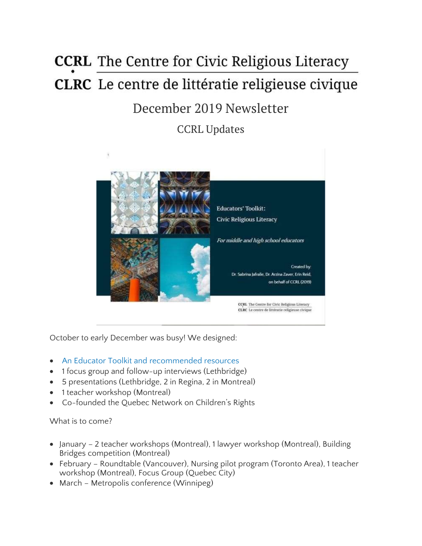# **CCRL** The Centre for Civic Religious Literacy **CLRC** Le centre de littératie religieuse civique

# December 2019 Newsletter

CCRL Updates



October to early December was busy! We designed:

- An Educator Toolkit and [recommended](https://ccrl-clrc.ca/resources/our-resources/) resources
- 1 focus group and follow-up interviews (Lethbridge)
- 5 presentations (Lethbridge, 2 in Regina, 2 in Montreal)
- 1 teacher workshop (Montreal)
- Co-founded the Quebec Network on Children's Rights

What is to come?

- January 2 teacher workshops (Montreal), 1 lawyer workshop (Montreal), Building Bridges competition (Montreal)
- February Roundtable (Vancouver), Nursing pilot program (Toronto Area), 1 teacher workshop (Montreal), Focus Group (Quebec City)
- March Metropolis conference (Winnipeg)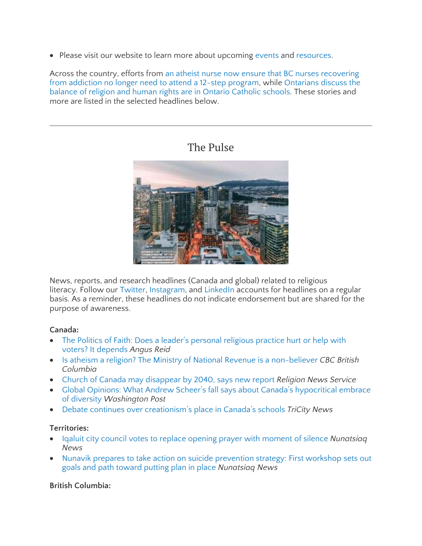• Please visit our website to learn more about upcoming [events](https://ccrl-clrc.ca/our-presentations/) and [resources.](https://ccrl-clrc.ca/resources/recommended-resources/)

Across the country, efforts from an atheist nurse now ensure that BC nurses [recovering](https://www.cbc.ca/news/canada/british-columbia/bc-byron-wood-nurse-12-step-religious-discrimination-settlement-1.5391650) from [addiction](https://www.cbc.ca/news/canada/british-columbia/bc-byron-wood-nurse-12-step-religious-discrimination-settlement-1.5391650) no longer need to attend a 12-step program, while [Ontarians](https://www.thestar.com/opinion/contributors/thebigdebate/2019/11/19/can-catholic-schools-balance-human-rights-and-religion.html) discuss the balance of religion and human rights are in Ontario [Catholic](https://www.thestar.com/opinion/contributors/thebigdebate/2019/11/19/can-catholic-schools-balance-human-rights-and-religion.html) schools. These stories and more are listed in the selected headlines below.

# The Pulse

News, reports, and research headlines (Canada and global) related to religious literacy. Follow our [Twitter,](https://twitter.com/CcrlClrc) [Instagram,](https://www.instagram.com/ccrl.clrc/) and [LinkedIn](https://www.linkedin.com/company/ccrl-clrc/) accounts for headlines on a regular basis. As a reminder, these headlines do not indicate endorsement but are shared for the purpose of awareness.

#### **Canada:**

- The Politics of Faith: Does a leader's [personal](http://angusreid.org/religion-and-politics/) religious practice hurt or help with voters? It [depends](http://angusreid.org/religion-and-politics/) *Angus Reid*
- Is atheism a religion? The Ministry of National Revenue is a [non-believer](https://www.cbc.ca/news/canada/british-columbia/atheism-religion-charitable-status-1.5384686) *CBC British Columbia*
- Church of Canada may [disappear](https://religionnews.com/2019/11/18/church-of-canada-may-disappear-by-2040-says-new-report/) by 2040, says new report *Religion News Service*
- Global Opinions: What Andrew Scheer's fall says about Canada's [hypocritical](https://www.washingtonpost.com/opinions/2019/12/12/what-andrew-scheers-fall-says-about-canadas-hypocritical-embrace-diversity/) embrace of [diversity](https://www.washingtonpost.com/opinions/2019/12/12/what-andrew-scheers-fall-says-about-canadas-hypocritical-embrace-diversity/) *Washington Post*
- Debate continues over [creationism's](https://www.tricitynews.com/debate-continues-over-creationism-s-place-in-canada-s-schools-1.24025545) place in Canada's schools *TriCity News*

#### **Territories:**

- Iqaluit city council votes to replace opening prayer with [moment](https://nunatsiaq.com/stories/article/iqaluit-city-council-votes-to-replace-opening-prayer-with-moment-of-silence/) of silence *Nunatsiaq News*
- Nunavik prepares to take action on suicide [prevention](https://nunatsiaq.com/stories/article/nunavik-prepares-to-take-action-on-suicide-prevention-strategy/) strategy: First workshop sets out goals and path [toward](https://nunatsiaq.com/stories/article/nunavik-prepares-to-take-action-on-suicide-prevention-strategy/) putting plan in place *Nunatsiaq News*

#### **British Columbia:**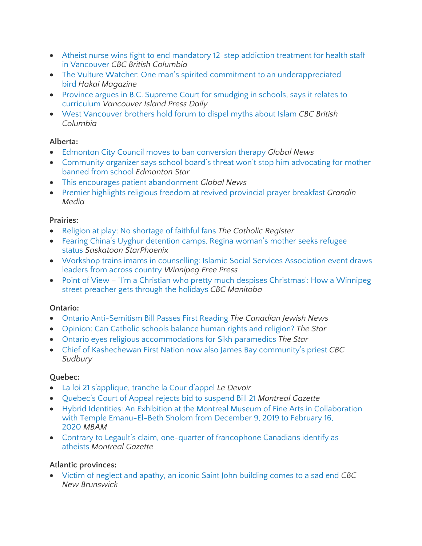- Atheist nurse wins fight to end [mandatory](https://www.cbc.ca/news/canada/british-columbia/bc-byron-wood-nurse-12-step-religious-discrimination-settlement-1.5391650) 12-step addiction treatment for health staff in [Vancouver](https://www.cbc.ca/news/canada/british-columbia/bc-byron-wood-nurse-12-step-religious-discrimination-settlement-1.5391650) *CBC British Columbia*
- The Vulture Watcher: One man's spirited commitment to an [underappreciated](https://www.hakaimagazine.com/features/the-vulture-watcher/) [bird](https://www.hakaimagazine.com/features/the-vulture-watcher/) *Hakai Magazine*
- Province argues in B.C. Supreme Court for [smudging](https://www.vancouverislandfreedaily.com/news/province-argues-in-b-c-supreme-court-for-smudging-in-schools-says-it-relates-to-curriculum/) in schools, says it relates to [curriculum](https://www.vancouverislandfreedaily.com/news/province-argues-in-b-c-supreme-court-for-smudging-in-schools-says-it-relates-to-curriculum/) *Vancouver Island Press Daily*
- West [Vancouver](https://www.cbc.ca/news/canada/british-columbia/kian-razaan-lalji-islam-myths-event-west-vancouver-1.5363037) brothers hold forum to dispel myths about Islam *CBC British Columbia*

#### **Alberta:**

- Edmonton City Council moves to ban [conversion](https://globalnews.ca/news/6279177/edmonton-city-council-ban-conversion-therapy/) therapy *Global News*
- [Community](https://www.thestar.com/edmonton/2019/12/02/community-organizer-says-school-boards-legal-threat-wont-stop-him-advocating-for-mother-banned-from-school.html) organizer says school board's threat won't stop him advocating for mother [banned](https://www.thestar.com/edmonton/2019/12/02/community-organizer-says-school-boards-legal-threat-wont-stop-him-advocating-for-mother-banned-from-school.html) from school *Edmonton Star*
- This encourages patient [abandonment](https://globalnews.ca/news/6178648/bill-207-rally-legislature/) *Global News*
- Premier highlights religious freedom at revived [provincial](https://grandinmedia.ca/premier-highlights-religious-freedom-at-revived-provincial-prayer-breakfast/) prayer breakfast *Grandin Media*

#### **Prairies:**

- Religion at play: No [shortage](https://www.catholicregister.org/features/featureseries/item/30729-religion-at-play-no-shortage-of-faithful-fans) of faithful fans *The Catholic Register*
- Fearing China's Uyghur [detention](https://thestarphoenix.com/news/local-news/woman-living-in-regina-seeks-refugee-status-fearing-chinas-uyghur-detention-camps) camps, Regina woman's mother seeks refugee [status](https://thestarphoenix.com/news/local-news/woman-living-in-regina-seeks-refugee-status-fearing-chinas-uyghur-detention-camps) *Saskatoon StarPhoenix*
- Workshop trains imams in [counselling:](https://www.winnipegfreepress.com/arts-and-life/life/faith/workshop-trains-imams-in-counselling-565414392.html) Islamic Social Services Association event draws leaders from across [country](https://www.winnipegfreepress.com/arts-and-life/life/faith/workshop-trains-imams-in-counselling-565414392.html) *Winnipeg Free Press*
- Point of View 'I'm a Christian who pretty much despises [Christmas':](https://www.cbc.ca/news/canada/manitoba/pov-urban-minister-surviving-christmas-1.5394552) How a Winnipeg street [preacher](https://www.cbc.ca/news/canada/manitoba/pov-urban-minister-surviving-christmas-1.5394552) gets through the holidays *CBC Manitoba*

#### **Ontario:**

- Ontario [Anti-Semitism](https://www.cjnews.com/news/canada/ontario-anti-semitism-bill-passes-first-reading) Bill Passes First Reading *The Canadian Jewish News*
- [Opinion:](https://www.thestar.com/opinion/contributors/thebigdebate/2019/11/19/can-catholic-schools-balance-human-rights-and-religion.html) Can Catholic schools balance human rights and religion? *The Star*
- Ontario eyes religious [accommodations](https://www.thestar.com/politics/provincial/2019/12/12/ontario-eyes-religious-accommodations-for-sikh-paramedics.html) for Sikh paramedics *The Star*
- Chief of [Kashechewan](https://www.cbc.ca/news/canada/sudbury/kashechewan-chief-ordained-anglican-priest-1.5357974) First Nation now also James Bay community's priest *CBC Sudbury*

#### **Quebec:**

- La loi 21 [s'applique,](https://www.ledevoir.com/politique/quebec/568954/la-loi-quebecoise-sur-la-laicite-de-l-etat-est-maintenue) tranche la Cour d'appel *Le Devoir*
- [Quebec's](https://montrealgazette.com/news/local-news/quebecs-court-of-appeal-rejects-request-to-suspend-bill-21?utm_term=Autofeed&utm_medium=Social&utm_source=Twitter#Echobox=1576180745) Court of Appeal rejects bid to suspend Bill 21 *Montreal Gazette*
- Hybrid Identities: An Exhibition at the Montreal Museum of Fine Arts in [Collaboration](https://www.mbam.qc.ca/en/education-and-art-therapy/educexpo/) with Temple [Emanu-El-Beth](https://www.mbam.qc.ca/en/education-and-art-therapy/educexpo/) Sholom from December 9, 2019 to February 16, [2020](https://www.mbam.qc.ca/en/education-and-art-therapy/educexpo/) *MBAM*
- Contrary to Legault's claim, one-quarter of [francophone](https://montrealgazette.com/news/local-news/contrary-to-legaults-claim-one-quarter-of-francophone-canadians-identify-as-atheists) Canadians identify as [atheists](https://montrealgazette.com/news/local-news/contrary-to-legaults-claim-one-quarter-of-francophone-canadians-identify-as-atheists) *Montreal Gazette*

#### **Atlantic provinces:**

 Victim of neglect and apathy, an iconic Saint John [building](https://www.cbc.ca/news/canada/new-brunswick/centenary-queen-square-demolition-1.5395480) comes to a sad end *CBC New Brunswick*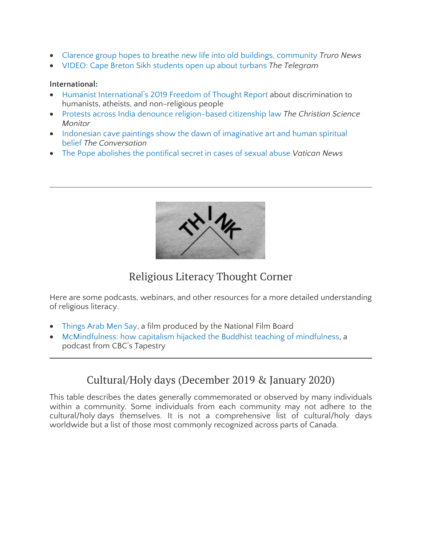- Clarence group hopes to breathe new life into old buildings, [community](https://www.trurodaily.com/lifestyles/regional-lifestyles/clarence-group-hopes-to-breathe-new-life-into-old-buildings-community-387023/) *Truro News*
- VIDEO: Cape Breton Sikh [students](https://www.thetelegram.com/lifestyles/regional-lifestyles/video-cape-breton-international-students-open-up-about-turbans-384258/) open up about turbans *The Telegram*

#### **International:**

- Humanist [International's](http://r20.rs6.net/tn.jsp?f=0019nE2ignqDyeZ-Wox0y7zRCaRdKcpdwtnxSqXUqsPVTeDx_pqcm9wrIJsPTB_OhOWzVNcEfMtx1L-qaosnRLS5wXJuQ58M4SZTQw2_1XhNCnvsKooKzvU0c18_DUGs_m7c307fpd5JPNmQdAk8QdPLmIPydXBwgN4KbK6yGkGAe8GDjJTYrTfXoAMoQa85pkbH60S2hgsLFNyNAeW5QcQ2LpDqlxTF2zsc_1GmsMNSP0=&c=sy9_v_pTnasUUCG4zV2HImCRsb3UFN7u1YZ_dEteIsYG5I74s0tSDQ==&ch=iY3iYhzrcl42Zj28UKgv-roJ4wV69GEXHQcIGWNAmppUIVp6Bc7DAA==) 2019 Freedom of Thought Report about discrimination to humanists, atheists, and non-religious people
- Protests across India denounce [religion-based](https://www.csmonitor.com/World/Asia-South-Central/2019/1216/Protests-across-India-denounce-religion-based-citizenship-law) citizenship law *The Christian Science Monitor*
- Indonesian cave paintings show the dawn of [imaginative](https://theconversation.com/indonesian-cave-paintings-show-the-dawn-of-imaginative-art-and-human-spiritual-belief-128457?utm_medium=email&utm_campaign=Latest%20from%20The%20Conversation%20for%20December%2012%202019%20-%201486414121&utm_content=Latest%20from%20The%20Conversation%20for%20December%2012%202019%20-%201486414121+CID_aa26ca4ae49d308d183012e74a9e578c&utm_source=campaign_monitor_global&utm_term=Indonesian%20cave%20paintings%20show%20the%20dawn%20of%20imaginative%20art%20and%20human%20spiritual%20belief) art and human spiritual [belief](https://theconversation.com/indonesian-cave-paintings-show-the-dawn-of-imaginative-art-and-human-spiritual-belief-128457?utm_medium=email&utm_campaign=Latest%20from%20The%20Conversation%20for%20December%2012%202019%20-%201486414121&utm_content=Latest%20from%20The%20Conversation%20for%20December%2012%202019%20-%201486414121+CID_aa26ca4ae49d308d183012e74a9e578c&utm_source=campaign_monitor_global&utm_term=Indonesian%20cave%20paintings%20show%20the%20dawn%20of%20imaginative%20art%20and%20human%20spiritual%20belief) *The Conversation*
- The Pope [abolishes](https://www.vaticannews.va/en/pope/news/2019-12/pope-abolishes-pontifical-secret-sexual-abuse-clergy.html) the pontifical secret in cases of sexual abuse *Vatican News*



## Religious Literacy Thought Corner

Here are some podcasts, webinars, and other resources for a more detailed understanding of religious literacy.

- [Things](https://www.nfb.ca/film/things_arab_men_say/) Arab Men Say, a film produced by the National Film Board
- [McMindfulness:](https://www.cbc.ca/radio/tapestry/mcmindfulness-and-the-case-for-small-talk-1.5369984/mcmindfulness-how-capitalism-hijacked-the-buddhist-teaching-of-mindfulness-1.5369991) how capitalism hijacked the Buddhist teaching of mindfulness, a podcast from CBC's Tapestry

### Cultural/Holy days (December 2019 & January 2020)

This table describes the dates generally commemorated or observed by many individuals within a community. Some individuals from each community may not adhere to the cultural/holy days themselves. It is not a comprehensive list of cultural/holy days worldwide but a list of those most commonly recognized across parts of Canada.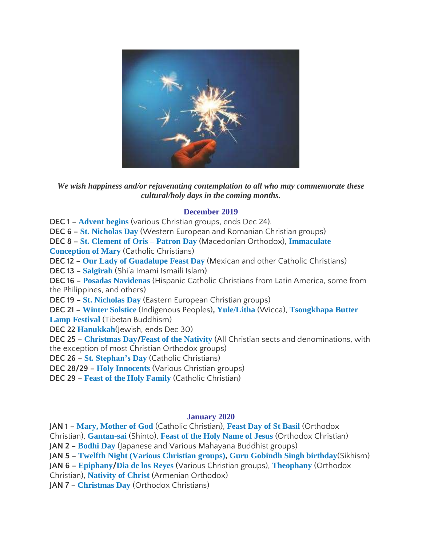

*We wish happiness and/or rejuvenating contemplation to all who may commemorate these cultural/holy days in the coming months.*

#### **December 2019**

**DEC 1 – [Advent](https://www.timeanddate.com/holidays/canada/first-day-advent) begins** (various Christian groups, ends Dec 24).

**DEC 6 – St. [Nicholas](https://www.britannica.com/topic/Saint-Nicholas-Day) Day** (Western European and Romanian Christian groups)

**DEC 8 – St. [Clement](https://anydayguide.com/calendar/2730) of Oris – Patron Day** (Macedonian Orthodox), **[Immaculate](https://www.timeanddate.com/holidays/canada/immaculate-conception) [Conception](https://www.timeanddate.com/holidays/canada/immaculate-conception) of Mary** (Catholic Christians)

**DEC 12 – Our Lady of [Guadalupe](https://www.iexplore.com/experiences/festivals-events/dia-de-la-virgen-de-guadalupe-important-mexican-celebration) Feast Day** (Mexican and other Catholic Christians)

**DEC 13 – [Salgirah](https://the.ismaili/salgirah)** (Shi'a Imami Ismaili Islam)

**DEC 16 – Posadas [Navidenas](https://www.readthespirit.com/religious-holidays-festivals/tag/posadas-navidenas/)** (Hispanic Catholic Christians from Latin America, some from the Philippines, and others)

**DEC 19 – St. [Nicholas](https://www.britannica.com/topic/Saint-Nicholas-Day) Day** (Eastern European Christian groups)

**DEC 21 – Winter [Solstice](https://saultonline.com/2017/12/the-significance-of-the-winter-solstice-to-the-missanabie-cree-first-nation/)** (Indigenous Peoples)**, [Yule/Litha](https://www.thoughtco.com/all-about-yule-2562972)** (Wicca), **[Tsongkhapa](https://www.tibettravel.org/tibetan-festivals/tsongkhapa-butter-lamp-festival.html) Butter Lamp [Festival](https://www.tibettravel.org/tibetan-festivals/tsongkhapa-butter-lamp-festival.html)** (Tibetan Buddhism)

**DEC 22 [Hanukkah](https://www.thecanadianencyclopedia.ca/en/article/chanukah)**(Jewish, ends Dec 30)

**DEC 25 – [Christmas](https://www.thecanadianencyclopedia.ca/en/article/christmas-in-canada) Day/Feast of the [Nativity](http://www.antiochianarch.org.au/Nativity.aspx)** (All Christian sects and denominations, with the exception of most Christian Orthodox groups)

**DEC 26 – St. [Stephan's](https://www.thoughtco.com/saint-stephen-542519) Day** (Catholic Christians)

**DEC 28/29 – Holy [Innocents](https://www.britannica.com/topic/Feast-of-the-Holy-Innocents)** (Various Christian groups)

**DEC 29 – Feast of the Holy [Family](https://www.britannica.com/topic/Feast-of-the-Holy-Family)** (Catholic Christian)

#### **January 2020**

**JAN 1 – Mary, [Mother](https://www.thoughtco.com/solemnity-of-mary-mother-of-god-3970726) of God** (Catholic Christian), **[Feast](https://www.readthespirit.com/religious-holidays-festivals/feast-st-basil/) Day of St Basil** (Orthodox Christian), **[Gantan-sai](http://faith.wikidot.com/gantan-sai)** (Shinto), **Feast of the Holy [Name](http://www.sharefaith.com/guide/Christian-Holidays/feast_of_the_holy_name.html) of Jesus** (Orthodox Christian) **JAN 2 – [Bodhi](https://www.thoughtco.com/bodhi-day-449913) Day** (Japanese and Various Mahayana Buddhist groups) **JAN 5 – Twelfth Night (Various [Christian](https://www.readthespirit.com/religious-holidays-festivals/tag/twelfth-night/) groups), Guru [Gobindh](https://www.learnreligions.com/all-about-guru-gobind-singh-4590153) Singh birthday**(Sikhism) **JAN 6 – [Epiphany](https://www.readthespirit.com/religious-holidays-festivals/tag/twelfth-night/)/Dia de los [Reyes](https://parade.com/248853/yvettemarquez/what-is-dia-de-los-reyes-three-kings-day-and-how-do-you-celebrate-it/)** (Various Christian groups), **[Theophany](https://www.readthespirit.com/religious-holidays-festivals/tag/twelfth-night/)** (Orthodox Christian), **[Nativity](http://bayazet.ru/en/culture/culture/armenian-religion/Rosdestvo-Hrestova.html) of Christ** (Armenian Orthodox) **JAN 7 – [Christmas](https://www.timeanddate.com/holidays/canada/orthodox-christmas-day) Day** (Orthodox Christians)